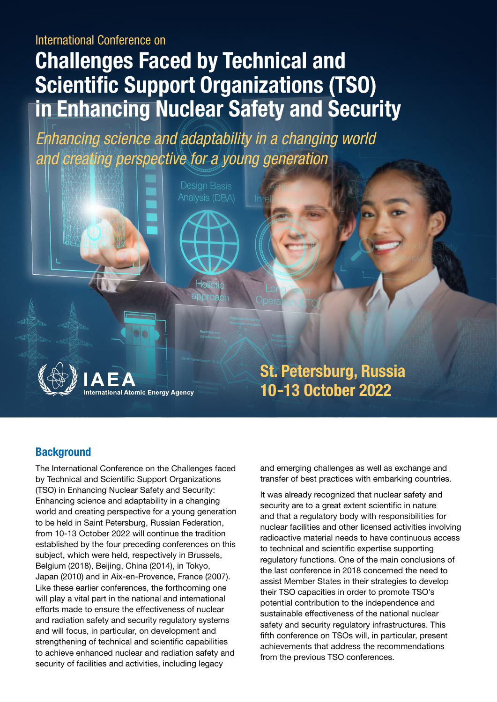# International Conference on

# Challenges Faced by Technical and Scientific Support Organizations (TSO) in Enhancing Nuclear Safety and Security

*Enhancing science and adaptability in a changing world and creating perspective for a young generation*



## **Background**

The International Conference on the Challenges faced by Technical and Scientific Support Organizations (TSO) in Enhancing Nuclear Safety and Security: Enhancing science and adaptability in a changing world and creating perspective for a young generation to be held in Saint Petersburg, Russian Federation, from 10-13 October 2022 will continue the tradition established by the four preceding conferences on this subject, which were held, respectively in Brussels, Belgium (2018), Beijing, China (2014), in Tokyo, Japan (2010) and in Aix-en-Provence, France (2007). Like these earlier conferences, the forthcoming one will play a vital part in the national and international efforts made to ensure the effectiveness of nuclear and radiation safety and security regulatory systems and will focus, in particular, on development and strengthening of technical and scientific capabilities to achieve enhanced nuclear and radiation safety and security of facilities and activities, including legacy

and emerging challenges as well as exchange and transfer of best practices with embarking countries.

It was already recognized that nuclear safety and security are to a great extent scientific in nature and that a regulatory body with responsibilities for nuclear facilities and other licensed activities involving radioactive material needs to have continuous access to technical and scientific expertise supporting regulatory functions. One of the main conclusions of the last conference in 2018 concerned the need to assist Member States in their strategies to develop their TSO capacities in order to promote TSO's potential contribution to the independence and sustainable effectiveness of the national nuclear safety and security regulatory infrastructures. This fifth conference on TSOs will, in particular, present achievements that address the recommendations from the previous TSO conferences.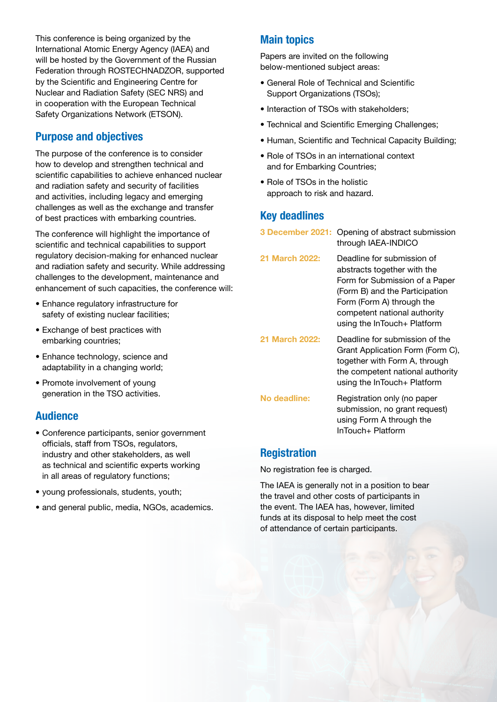This conference is being organized by the International Atomic Energy Agency (IAEA) and will be hosted by the Government of the Russian Federation through ROSTECHNADZOR, supported by the Scientific and Engineering Centre for Nuclear and Radiation Safety (SEC NRS) and in cooperation with the European Technical Safety Organizations Network (ETSON).

#### Purpose and objectives

The purpose of the conference is to consider how to develop and strengthen technical and scientific capabilities to achieve enhanced nuclear and radiation safety and security of facilities and activities, including legacy and emerging challenges as well as the exchange and transfer of best practices with embarking countries.

The conference will highlight the importance of scientific and technical capabilities to support regulatory decision-making for enhanced nuclear and radiation safety and security. While addressing challenges to the development, maintenance and enhancement of such capacities, the conference will:

- Enhance regulatory infrastructure for safety of existing nuclear facilities;
- Exchange of best practices with embarking countries;
- Enhance technology, science and adaptability in a changing world;
- Promote involvement of young generation in the TSO activities.

### Audience

- Conference participants, senior government officials, staff from TSOs, regulators, industry and other stakeholders, as well as technical and scientific experts working in all areas of regulatory functions;
- young professionals, students, youth;
- and general public, media, NGOs, academics,

# Main topics

Papers are invited on the following below-mentioned subject areas:

- General Role of Technical and Scientific Support Organizations (TSOs);
- Interaction of TSOs with stakeholders:
- Technical and Scientific Emerging Challenges;
- Human, Scientific and Technical Capacity Building;
- Role of TSOs in an international context and for Embarking Countries;
- Role of TSOs in the holistic approach to risk and hazard.

## Key deadlines

| <b>3 December 2021:</b> | Opening of abstract submission<br>through IAEA-INDICO                                                                                                                                                                     |
|-------------------------|---------------------------------------------------------------------------------------------------------------------------------------------------------------------------------------------------------------------------|
| 21 March 2022:          | Deadline for submission of<br>abstracts together with the<br>Form for Submission of a Paper<br>(Form B) and the Participation<br>Form (Form A) through the<br>competent national authority<br>using the InTouch+ Platform |
| 21 March 2022:          | Deadline for submission of the<br>Grant Application Form (Form C),<br>together with Form A, through<br>the competent national authority<br>using the InTouch+ Platform                                                    |
| No deadline:            | Registration only (no paper<br>submission, no grant request)<br>using Form A through the<br>InTouch+ Platform                                                                                                             |

## **Registration**

No registration fee is charged.

The IAEA is generally not in a position to bear the travel and other costs of participants in the event. The IAEA has, however, limited funds at its disposal to help meet the cost of attendance of certain participants.